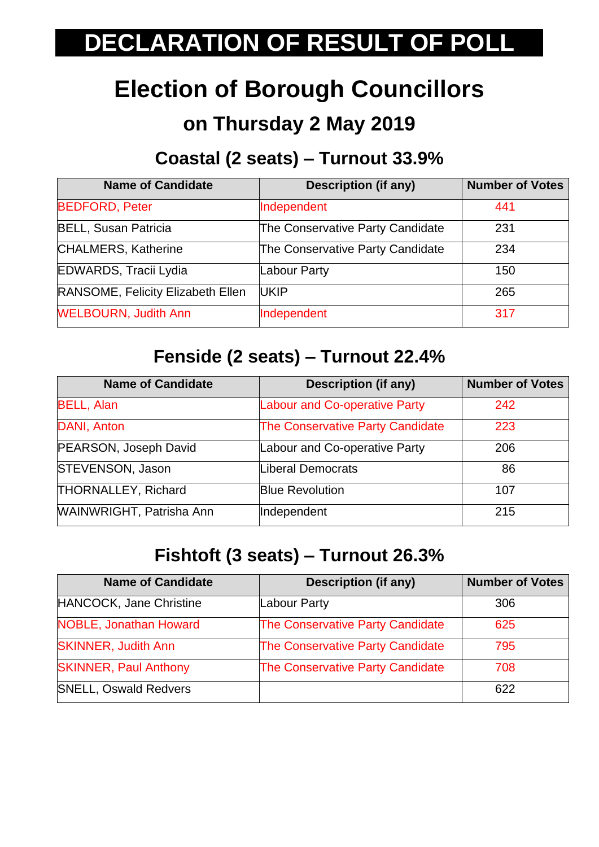# **DECLARATION OF RESULT OF POLL**

## **Election of Borough Councillors**

## **on Thursday 2 May 2019**

## **Coastal (2 seats) – Turnout 33.9%**

| <b>Name of Candidate</b>          | <b>Description (if any)</b>      | <b>Number of Votes</b> |
|-----------------------------------|----------------------------------|------------------------|
| <b>BEDFORD, Peter</b>             | Independent                      | 441                    |
| <b>BELL, Susan Patricia</b>       | The Conservative Party Candidate | 231                    |
| <b>CHALMERS, Katherine</b>        | The Conservative Party Candidate | 234                    |
| <b>EDWARDS, Tracii Lydia</b>      | Labour Party                     | 150                    |
| RANSOME, Felicity Elizabeth Ellen | <b>UKIP</b>                      | 265                    |
| <b>WELBOURN, Judith Ann</b>       | Independent                      | 317                    |

#### **Fenside (2 seats) – Turnout 22.4%**

| <b>Name of Candidate</b>        | <b>Description (if any)</b>             | <b>Number of Votes</b> |
|---------------------------------|-----------------------------------------|------------------------|
| <b>BELL, Alan</b>               | <b>Labour and Co-operative Party</b>    | 242                    |
| DANI, Anton                     | <b>The Conservative Party Candidate</b> | 223                    |
| PEARSON, Joseph David           | Labour and Co-operative Party           | 206                    |
| <b>STEVENSON, Jason</b>         | <b>Liberal Democrats</b>                | 86                     |
| <b>THORNALLEY, Richard</b>      | <b>Blue Revolution</b>                  | 107                    |
| <b>WAINWRIGHT, Patrisha Ann</b> | Independent                             | 215                    |

#### **Fishtoft (3 seats) – Turnout 26.3%**

| <b>Name of Candidate</b>      | <b>Description (if any)</b>      | <b>Number of Votes</b> |
|-------------------------------|----------------------------------|------------------------|
| HANCOCK, Jane Christine       | Labour Party                     | 306                    |
| <b>NOBLE, Jonathan Howard</b> | The Conservative Party Candidate | 625                    |
| <b>SKINNER, Judith Ann</b>    | The Conservative Party Candidate | 795                    |
| <b>SKINNER, Paul Anthony</b>  | The Conservative Party Candidate | 708                    |
| <b>SNELL, Oswald Redvers</b>  |                                  | 622                    |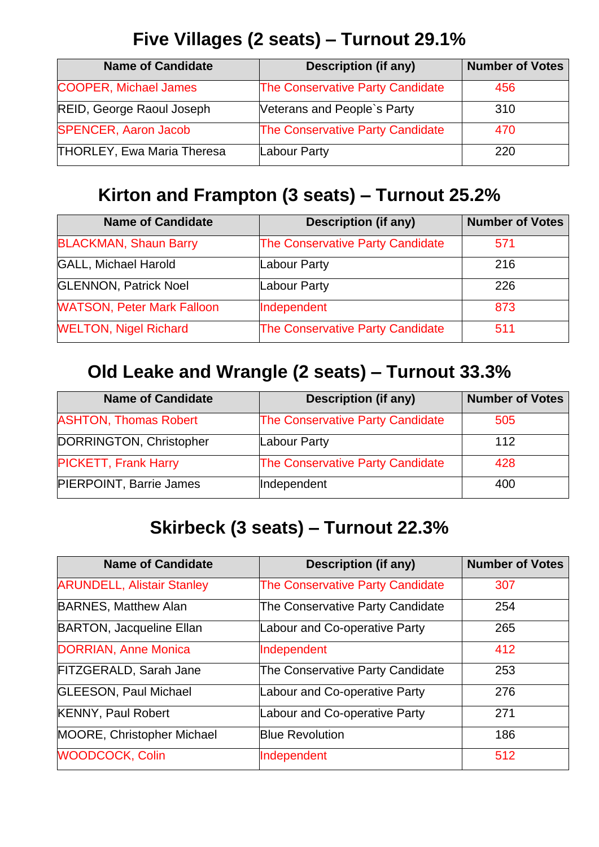### **Five Villages (2 seats) – Turnout 29.1%**

| <b>Name of Candidate</b>          | <b>Description (if any)</b>             | <b>Number of Votes</b> |
|-----------------------------------|-----------------------------------------|------------------------|
| <b>COOPER, Michael James</b>      | <b>The Conservative Party Candidate</b> | 456                    |
| <b>REID, George Raoul Joseph</b>  | Veterans and People's Party             | 310                    |
| <b>SPENCER, Aaron Jacob</b>       | <b>The Conservative Party Candidate</b> | 470                    |
| <b>THORLEY, Ewa Maria Theresa</b> | Labour Party                            | 220                    |

### **Kirton and Frampton (3 seats) – Turnout 25.2%**

| <b>Name of Candidate</b>          | <b>Description (if any)</b>             | <b>Number of Votes</b> |
|-----------------------------------|-----------------------------------------|------------------------|
| <b>BLACKMAN, Shaun Barry</b>      | <b>The Conservative Party Candidate</b> | 571                    |
| <b>GALL, Michael Harold</b>       | Labour Party                            | 216                    |
| <b>GLENNON, Patrick Noel</b>      | Labour Party                            | 226                    |
| <b>WATSON, Peter Mark Falloon</b> | Independent                             | 873                    |
| <b>WELTON, Nigel Richard</b>      | <b>The Conservative Party Candidate</b> | 511                    |

## **Old Leake and Wrangle (2 seats) – Turnout 33.3%**

| <b>Name of Candidate</b>       | <b>Description (if any)</b>             | <b>Number of Votes</b> |
|--------------------------------|-----------------------------------------|------------------------|
| <b>ASHTON, Thomas Robert</b>   | <b>The Conservative Party Candidate</b> | 505                    |
| DORRINGTON, Christopher        | Labour Party                            | 112                    |
| <b>PICKETT, Frank Harry</b>    | The Conservative Party Candidate        | 428                    |
| <b>PIERPOINT, Barrie James</b> | Independent                             | 400                    |

#### **Skirbeck (3 seats) – Turnout 22.3%**

| <b>Name of Candidate</b>          | <b>Description (if any)</b>             | <b>Number of Votes</b> |
|-----------------------------------|-----------------------------------------|------------------------|
| <b>ARUNDELL, Alistair Stanley</b> | <b>The Conservative Party Candidate</b> | 307                    |
| <b>BARNES, Matthew Alan</b>       | The Conservative Party Candidate        | 254                    |
| <b>BARTON, Jacqueline Ellan</b>   | Labour and Co-operative Party           | 265                    |
| <b>DORRIAN, Anne Monica</b>       | Independent                             | 412                    |
| <b>FITZGERALD, Sarah Jane</b>     | The Conservative Party Candidate        | 253                    |
| <b>GLEESON, Paul Michael</b>      | Labour and Co-operative Party           | 276                    |
| <b>KENNY, Paul Robert</b>         | <b>Labour and Co-operative Party</b>    | 271                    |
| <b>MOORE, Christopher Michael</b> | <b>Blue Revolution</b>                  | 186                    |
| <b>WOODCOCK, Colin</b>            | Independent                             | 512                    |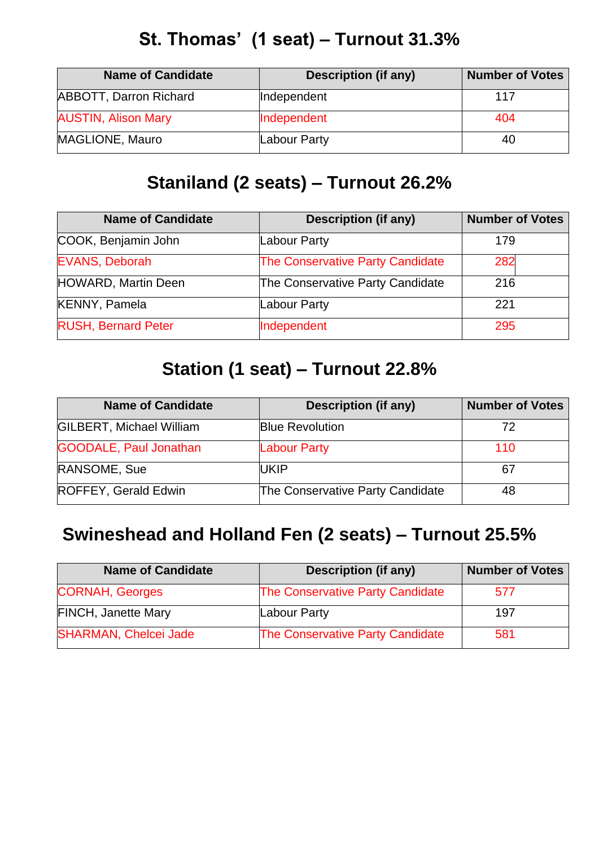#### **St. Thomas' (1 seat) – Turnout 31.3%**

| <b>Name of Candidate</b>   | <b>Description (if any)</b> | <b>Number of Votes</b> |
|----------------------------|-----------------------------|------------------------|
| ABBOTT, Darron Richard     | Independent                 | 117                    |
| <b>AUSTIN, Alison Mary</b> | Independent                 | 404                    |
| MAGLIONE, Mauro            | Labour Party                | 40                     |

#### **Staniland (2 seats) – Turnout 26.2%**

| <b>Name of Candidate</b>   | <b>Description (if any)</b>      | <b>Number of Votes</b> |
|----------------------------|----------------------------------|------------------------|
| COOK, Benjamin John        | Labour Party                     | 179                    |
| <b>EVANS, Deborah</b>      | The Conservative Party Candidate | 282                    |
| <b>HOWARD, Martin Deen</b> | The Conservative Party Candidate | 216                    |
| <b>KENNY, Pamela</b>       | Labour Party                     | 221                    |
| <b>RUSH, Bernard Peter</b> | Independent                      | 295                    |

#### **Station (1 seat) – Turnout 22.8%**

| <b>Name of Candidate</b>        | <b>Description (if any)</b>      | <b>Number of Votes</b> |
|---------------------------------|----------------------------------|------------------------|
| <b>GILBERT, Michael William</b> | <b>Blue Revolution</b>           | 72                     |
| <b>GOODALE, Paul Jonathan</b>   | <b>Labour Party</b>              | 110                    |
| RANSOME, Sue                    | <b>UKIP</b>                      | 67                     |
| ROFFEY, Gerald Edwin            | The Conservative Party Candidate | 48                     |

#### **Swineshead and Holland Fen (2 seats) – Turnout 25.5%**

| <b>Name of Candidate</b>     | <b>Description (if any)</b>             | <b>Number of Votes</b> |
|------------------------------|-----------------------------------------|------------------------|
| <b>CORNAH, Georges</b>       | <b>The Conservative Party Candidate</b> | 577                    |
| <b>FINCH, Janette Mary</b>   | <b>Labour Party</b>                     | 197                    |
| <b>SHARMAN, Chelcei Jade</b> | <b>The Conservative Party Candidate</b> | 581                    |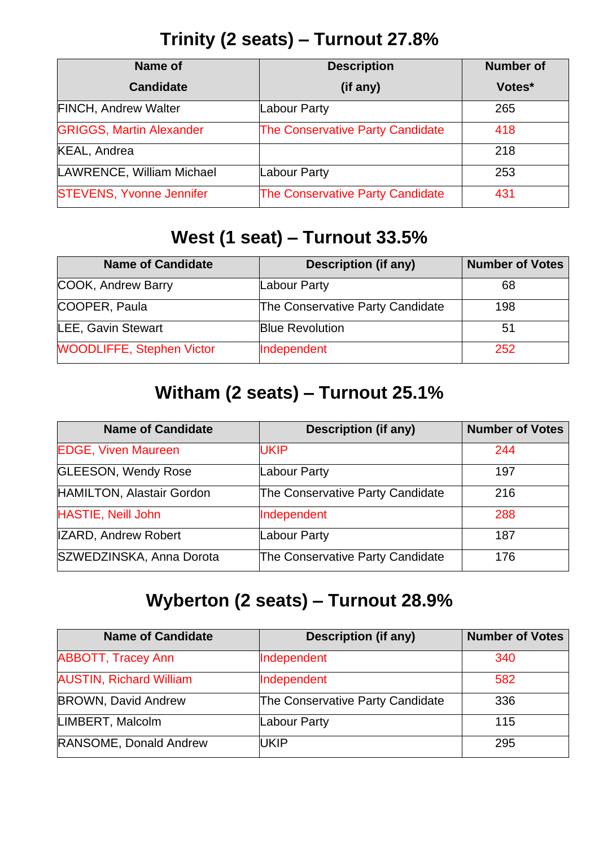#### **Trinity (2 seats) – Turnout 27.8%**

| Name of                         | <b>Description</b>                      | <b>Number of</b> |
|---------------------------------|-----------------------------------------|------------------|
| <b>Candidate</b>                | (if any)                                | Votes*           |
| <b>FINCH, Andrew Walter</b>     | Labour Party                            | 265              |
| <b>GRIGGS, Martin Alexander</b> | <b>The Conservative Party Candidate</b> | 418              |
| KEAL, Andrea                    |                                         | 218              |
| LAWRENCE, William Michael       | <b>Labour Party</b>                     | 253              |
| <b>STEVENS, Yvonne Jennifer</b> | <b>The Conservative Party Candidate</b> | 431              |

## **West (1 seat) – Turnout 33.5%**

| <b>Name of Candidate</b>         | <b>Description (if any)</b>      | <b>Number of Votes</b> |
|----------------------------------|----------------------------------|------------------------|
| COOK, Andrew Barry               | Labour Party                     | 68                     |
| COOPER, Paula                    | The Conservative Party Candidate | 198                    |
| LEE, Gavin Stewart               | <b>Blue Revolution</b>           | 51                     |
| <b>WOODLIFFE, Stephen Victor</b> | Independent                      | 252                    |

### **Witham (2 seats) – Turnout 25.1%**

| <b>Name of Candidate</b>    | <b>Description (if any)</b>      | <b>Number of Votes</b> |
|-----------------------------|----------------------------------|------------------------|
| <b>EDGE, Viven Maureen</b>  | <b>UKIP</b>                      | 244                    |
| <b>GLEESON, Wendy Rose</b>  | Labour Party                     | 197                    |
| HAMILTON, Alastair Gordon   | The Conservative Party Candidate | 216                    |
| <b>HASTIE, Neill John</b>   | Independent                      | 288                    |
| <b>IZARD, Andrew Robert</b> | Labour Party                     | 187                    |
| SZWEDZINSKA, Anna Dorota    | The Conservative Party Candidate | 176                    |

#### **Wyberton (2 seats) – Turnout 28.9%**

| <b>Name of Candidate</b>       | <b>Description (if any)</b>      | <b>Number of Votes</b> |
|--------------------------------|----------------------------------|------------------------|
| <b>ABBOTT, Tracey Ann</b>      | Independent                      | 340                    |
| <b>AUSTIN, Richard William</b> | Independent                      | 582                    |
| <b>BROWN, David Andrew</b>     | The Conservative Party Candidate | 336                    |
| LIMBERT, Malcolm               | Labour Party                     | 115                    |
| RANSOME, Donald Andrew         | UKIP                             | 295                    |